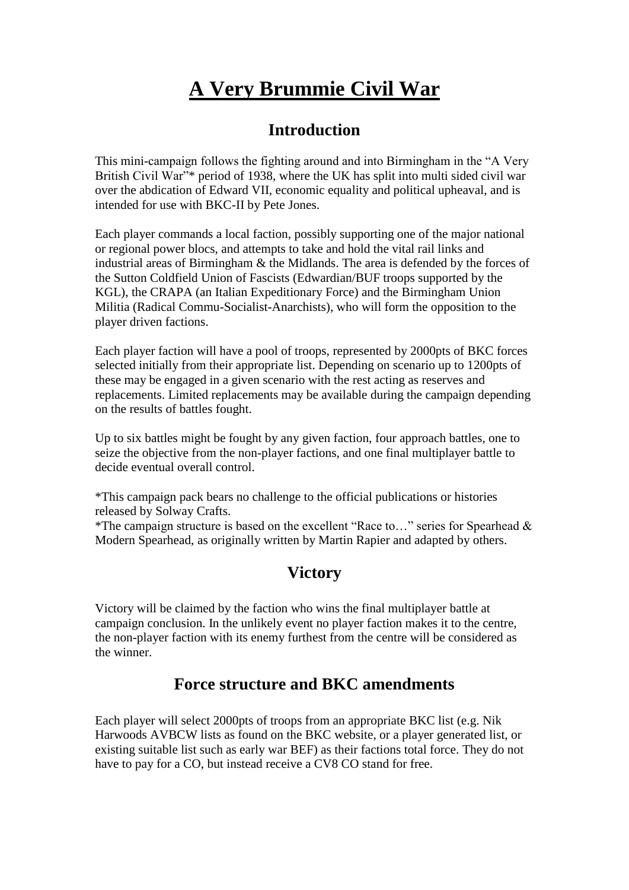# **A Very Brummie Civil War**

### **Introduction**

This mini-campaign follows the fighting around and into Birmingham in the "A Very British Civil War"\* period of 1938, where the UK has split into multi sided civil war over the abdication of Edward VII, economic equality and political upheaval, and is intended for use with BKC-II by Pete Jones.

Each player commands a local faction, possibly supporting one of the major national or regional power blocs, and attempts to take and hold the vital rail links and industrial areas of Birmingham & the Midlands. The area is defended by the forces of the Sutton Coldfield Union of Fascists (Edwardian/BUF troops supported by the KGL), the CRAPA (an Italian Expeditionary Force) and the Birmingham Union Militia (Radical Commu-Socialist-Anarchists), who will form the opposition to the player driven factions.

Each player faction will have a pool of troops, represented by 2000pts of BKC forces selected initially from their appropriate list. Depending on scenario up to 1200pts of these may be engaged in a given scenario with the rest acting as reserves and replacements. Limited replacements may be available during the campaign depending on the results of battles fought.

Up to six battles might be fought by any given faction, four approach battles, one to seize the objective from the non-player factions, and one final multiplayer battle to decide eventual overall control.

\*This campaign pack bears no challenge to the official publications or histories released by Solway Crafts.

\*The campaign structure is based on the excellent "Race to…" series for Spearhead & Modern Spearhead, as originally written by Martin Rapier and adapted by others.

## **Victory**

Victory will be claimed by the faction who wins the final multiplayer battle at campaign conclusion. In the unlikely event no player faction makes it to the centre, the non-player faction with its enemy furthest from the centre will be considered as the winner.

## **Force structure and BKC amendments**

Each player will select 2000pts of troops from an appropriate BKC list (e.g. Nik Harwoods AVBCW lists as found on the BKC website, or a player generated list, or existing suitable list such as early war BEF) as their factions total force. They do not have to pay for a CO, but instead receive a CV8 CO stand for free.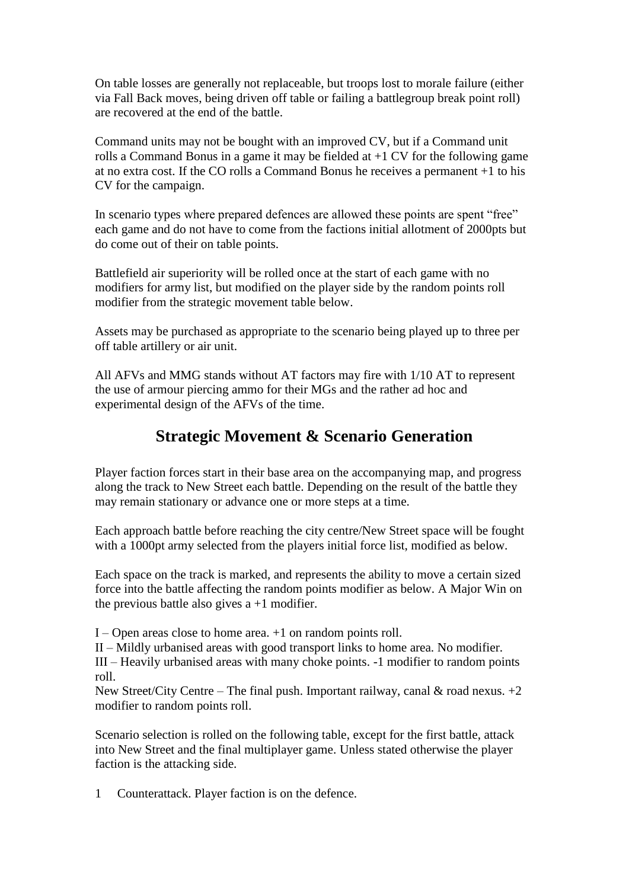On table losses are generally not replaceable, but troops lost to morale failure (either via Fall Back moves, being driven off table or failing a battlegroup break point roll) are recovered at the end of the battle.

Command units may not be bought with an improved CV, but if a Command unit rolls a Command Bonus in a game it may be fielded at +1 CV for the following game at no extra cost. If the CO rolls a Command Bonus he receives a permanent +1 to his CV for the campaign.

In scenario types where prepared defences are allowed these points are spent "free" each game and do not have to come from the factions initial allotment of 2000pts but do come out of their on table points.

Battlefield air superiority will be rolled once at the start of each game with no modifiers for army list, but modified on the player side by the random points roll modifier from the strategic movement table below.

Assets may be purchased as appropriate to the scenario being played up to three per off table artillery or air unit.

All AFVs and MMG stands without AT factors may fire with 1/10 AT to represent the use of armour piercing ammo for their MGs and the rather ad hoc and experimental design of the AFVs of the time.

## **Strategic Movement & Scenario Generation**

Player faction forces start in their base area on the accompanying map, and progress along the track to New Street each battle. Depending on the result of the battle they may remain stationary or advance one or more steps at a time.

Each approach battle before reaching the city centre/New Street space will be fought with a 1000pt army selected from the players initial force list, modified as below.

Each space on the track is marked, and represents the ability to move a certain sized force into the battle affecting the random points modifier as below. A Major Win on the previous battle also gives  $a + 1$  modifier.

I – Open areas close to home area. +1 on random points roll.

II – Mildly urbanised areas with good transport links to home area. No modifier.

III – Heavily urbanised areas with many choke points. -1 modifier to random points roll.

New Street/City Centre – The final push. Important railway, canal  $\&$  road nexus. +2 modifier to random points roll.

Scenario selection is rolled on the following table, except for the first battle, attack into New Street and the final multiplayer game. Unless stated otherwise the player faction is the attacking side.

1 Counterattack. Player faction is on the defence.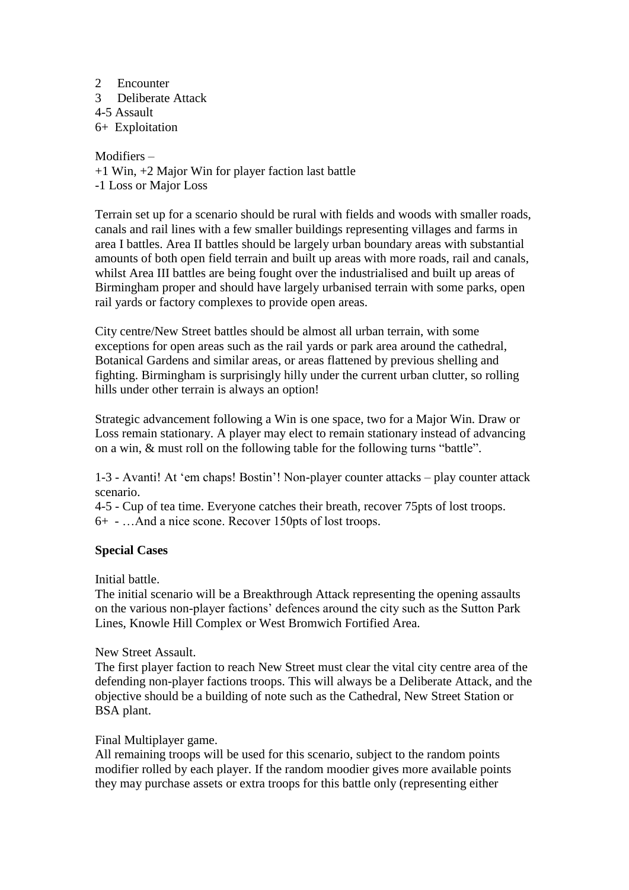#### 2 Encounter

- 3 Deliberate Attack
- 4-5 Assault

6+ Exploitation

### Modifiers –

+1 Win, +2 Major Win for player faction last battle

-1 Loss or Major Loss

Terrain set up for a scenario should be rural with fields and woods with smaller roads, canals and rail lines with a few smaller buildings representing villages and farms in area I battles. Area II battles should be largely urban boundary areas with substantial amounts of both open field terrain and built up areas with more roads, rail and canals, whilst Area III battles are being fought over the industrialised and built up areas of Birmingham proper and should have largely urbanised terrain with some parks, open rail yards or factory complexes to provide open areas.

City centre/New Street battles should be almost all urban terrain, with some exceptions for open areas such as the rail yards or park area around the cathedral, Botanical Gardens and similar areas, or areas flattened by previous shelling and fighting. Birmingham is surprisingly hilly under the current urban clutter, so rolling hills under other terrain is always an option!

Strategic advancement following a Win is one space, two for a Major Win. Draw or Loss remain stationary. A player may elect to remain stationary instead of advancing on a win, & must roll on the following table for the following turns "battle".

1-3 - Avanti! At 'em chaps! Bostin'! Non-player counter attacks – play counter attack scenario.

4-5 - Cup of tea time. Everyone catches their breath, recover 75pts of lost troops. 6+ - …And a nice scone. Recover 150pts of lost troops.

### **Special Cases**

Initial battle.

The initial scenario will be a Breakthrough Attack representing the opening assaults on the various non-player factions' defences around the city such as the Sutton Park Lines, Knowle Hill Complex or West Bromwich Fortified Area.

New Street Assault.

The first player faction to reach New Street must clear the vital city centre area of the defending non-player factions troops. This will always be a Deliberate Attack, and the objective should be a building of note such as the Cathedral, New Street Station or BSA plant.

#### Final Multiplayer game.

All remaining troops will be used for this scenario, subject to the random points modifier rolled by each player. If the random moodier gives more available points they may purchase assets or extra troops for this battle only (representing either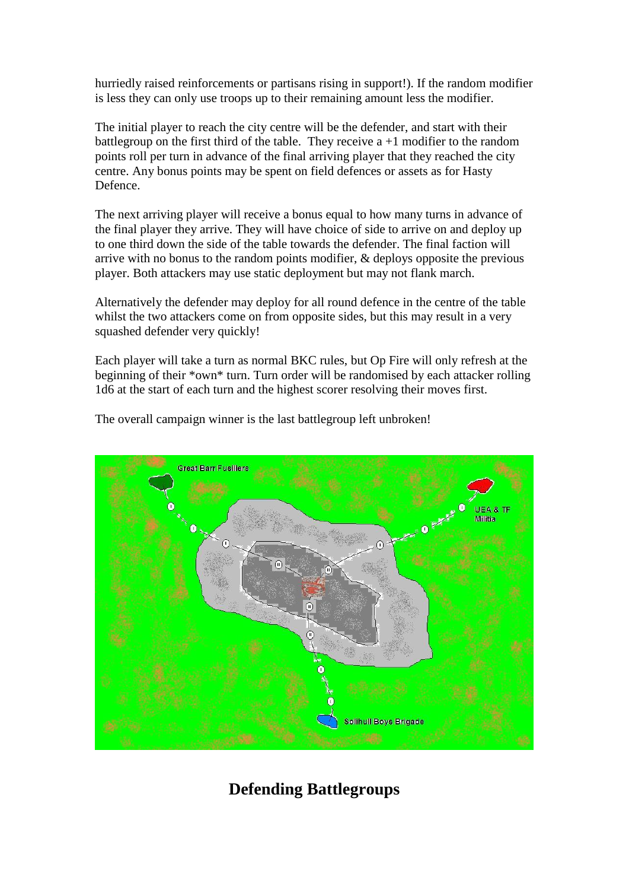hurriedly raised reinforcements or partisans rising in support!). If the random modifier is less they can only use troops up to their remaining amount less the modifier.

The initial player to reach the city centre will be the defender, and start with their battlegroup on the first third of the table. They receive  $a + 1$  modifier to the random points roll per turn in advance of the final arriving player that they reached the city centre. Any bonus points may be spent on field defences or assets as for Hasty Defence.

The next arriving player will receive a bonus equal to how many turns in advance of the final player they arrive. They will have choice of side to arrive on and deploy up to one third down the side of the table towards the defender. The final faction will arrive with no bonus to the random points modifier, & deploys opposite the previous player. Both attackers may use static deployment but may not flank march.

Alternatively the defender may deploy for all round defence in the centre of the table whilst the two attackers come on from opposite sides, but this may result in a very squashed defender very quickly!

Each player will take a turn as normal BKC rules, but Op Fire will only refresh at the beginning of their \*own\* turn. Turn order will be randomised by each attacker rolling 1d6 at the start of each turn and the highest scorer resolving their moves first.



The overall campaign winner is the last battlegroup left unbroken!

# **Defending Battlegroups**